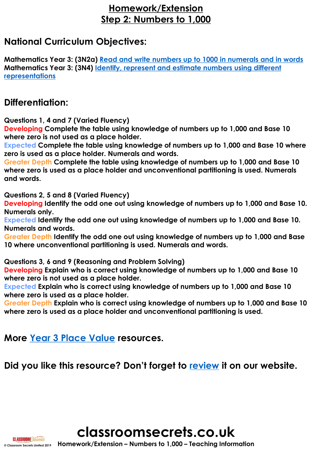## **Homework/Extension Step 2: Numbers to 1,000**

## **National Curriculum Objectives:**

**Mathematics Year 3: (3N2a) [Read and write numbers up to 1000 in numerals and in words](https://classroomsecrets.co.uk/content-domain-filter/?fwp_contentdomain=3n2a) Mathematics Year 3: (3N4) [Identify, represent and estimate numbers using different](https://classroomsecrets.co.uk/content-domain-filter/?fwp_contentdomain=3n4) representations**

### **Differentiation:**

**Questions 1, 4 and 7 (Varied Fluency)**

**Developing Complete the table using knowledge of numbers up to 1,000 and Base 10 where zero is not used as a place holder.** 

**Expected Complete the table using knowledge of numbers up to 1,000 and Base 10 where zero is used as a place holder. Numerals and words.** 

**Greater Depth Complete the table using knowledge of numbers up to 1,000 and Base 10 where zero is used as a place holder and unconventional partitioning is used. Numerals and words.** 

**Questions 2, 5 and 8 (Varied Fluency)**

**Developing Identify the odd one out using knowledge of numbers up to 1,000 and Base 10. Numerals only.**

**Expected Identify the odd one out using knowledge of numbers up to 1,000 and Base 10. Numerals and words.**

**Greater Depth Identify the odd one out using knowledge of numbers up to 1,000 and Base 10 where unconventional partitioning is used. Numerals and words.**

**Questions 3, 6 and 9 (Reasoning and Problem Solving)**

**Developing Explain who is correct using knowledge of numbers up to 1,000 and Base 10 where zero is not used as a place holder.**

**Expected Explain who is correct using knowledge of numbers up to 1,000 and Base 10 where zero is used as a place holder.** 

**Greater Depth Explain who is correct using knowledge of numbers up to 1,000 and Base 10 where zero is used as a place holder and unconventional partitioning is used.**

**More [Year 3 Place Value](https://classroomsecrets.co.uk/category/maths/year-3/autumn-block-1-place-value-year-3/) resources.**

**Did you like this resource? Don't forget to [review](https://classroomsecrets.co.uk/numbers-to-1000-homework-extension-year-3-place-value) it on our website.**

**classroomsecrets.co.uk**

**© Classroom Secrets Limited 2019 Homework/Extension – Numbers to 1,000 – Teaching Information**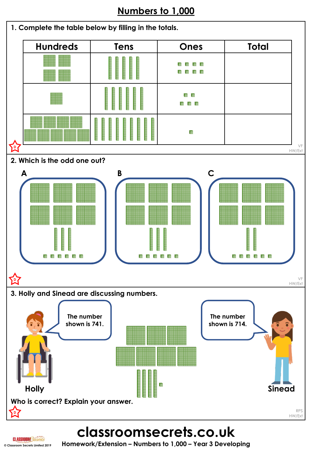## **Numbers to 1,000**



**classroomsecrets.co.uk**

**© Classroom Secrets Limited 2019 Homework/Extension – Numbers to 1,000 – Year 3 Developing**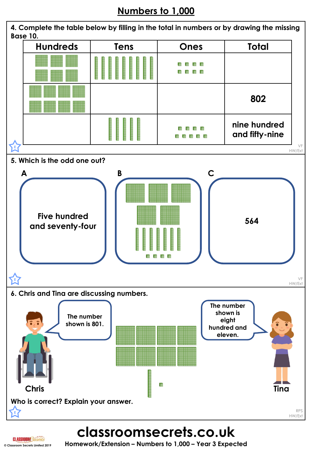# **Numbers to 1,000**



**classroomsecrets.co.uk**

**© Classroom Secrets Limited 2019 Homework/Extension – Numbers to 1,000 – Year 3 Expected**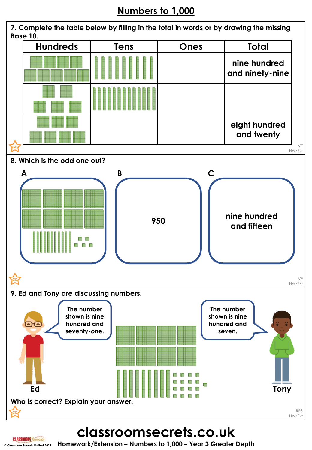# **Numbers to 1,000**



**classroomsecrets.co.uk**

**© Classroom Secrets Limited 2019 Homework/Extension – Numbers to 1,000 – Year 3 Greater Depth**